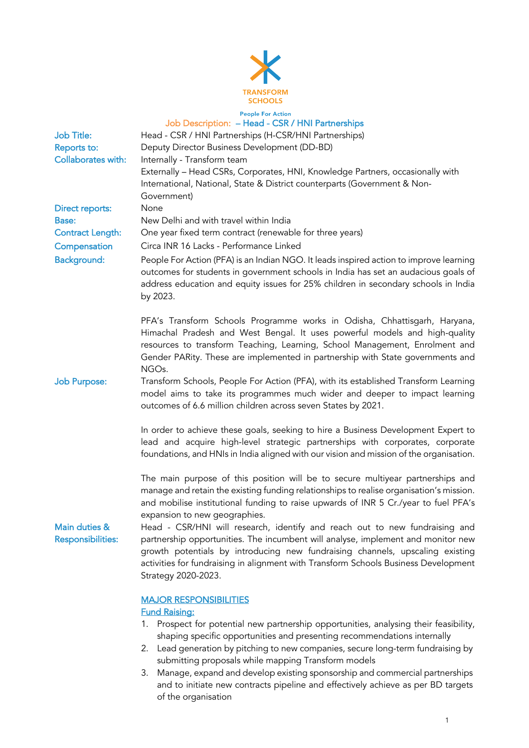

# People For Action<br>Job Description: – Head - CSR / HNI Partnerships Job Title: Head - CSR / HNI Partnerships (H-CSR/HNI Partnerships) Reports to: Deputy Director Business Development (DD-BD) Collaborates with: Internally - Transform team Externally – Head CSRs, Corporates, HNI, Knowledge Partners, occasionally with International, National, State & District counterparts (Government & Non-Government) Direct reports: None Base: New Delhi and with travel within India Contract Length: One year fixed term contract (renewable for three years) Compensation Circa INR 16 Lacks - Performance Linked Background: People For Action (PFA) is an Indian NGO. It leads inspired action to improve learning outcomes for students in government schools in India has set an audacious goals of address education and equity issues for 25% children in secondary schools in India by 2023. PFA's Transform Schools Programme works in Odisha, Chhattisgarh, Haryana, Himachal Pradesh and West Bengal. It uses powerful models and high-quality resources to transform Teaching, Learning, School Management, Enrolment and Gender PARity. These are implemented in partnership with State governments and NGOs. Job Purpose: Transform Schools, People For Action (PFA), with its established Transform Learning model aims to take its programmes much wider and deeper to impact learning outcomes of 6.6 million children across seven States by 2021. In order to achieve these goals, seeking to hire a Business Development Expert to lead and acquire high-level strategic partnerships with corporates, corporate foundations, and HNIs in India aligned with our vision and mission of the organisation. The main purpose of this position will be to secure multiyear partnerships and manage and retain the existing funding relationships to realise organisation's mission. and mobilise institutional funding to raise upwards of INR 5 Cr./year to fuel PFA's expansion to new geographies. Main duties & Responsibilities: Head - CSR/HNI will research, identify and reach out to new fundraising and partnership opportunities. The incumbent will analyse, implement and monitor new growth potentials by introducing new fundraising channels, upscaling existing activities for fundraising in alignment with Transform Schools Business Development Strategy 2020-2023. MAJOR RESPONSIBILITIES

### Fund Raising:

- 1. Prospect for potential new partnership opportunities, analysing their feasibility, shaping specific opportunities and presenting recommendations internally
- 2. Lead generation by pitching to new companies, secure long-term fundraising by submitting proposals while mapping Transform models
- 3. Manage, expand and develop existing sponsorship and commercial partnerships and to initiate new contracts pipeline and effectively achieve as per BD targets of the organisation